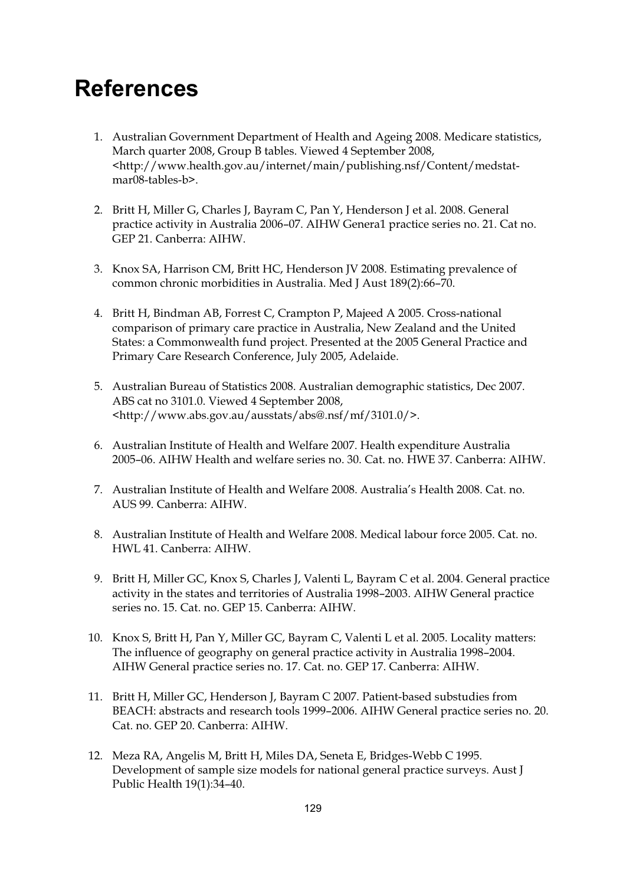## **References**

- 1. Australian Government Department of Health and Ageing 2008. Medicare statistics, March quarter 2008, Group B tables. Viewed 4 September 2008, <http://www.health.gov.au/internet/main/publishing.nsf/Content/medstatmar08-tables-b>.
- 2. Britt H, Miller G, Charles J, Bayram C, Pan Y, Henderson J et al. 2008. General practice activity in Australia 2006–07. AIHW Genera1 practice series no. 21. Cat no. GEP 21. Canberra: AIHW.
- 3. Knox SA, Harrison CM, Britt HC, Henderson JV 2008. Estimating prevalence of common chronic morbidities in Australia. Med J Aust 189(2):66–70.
- 4. Britt H, Bindman AB, Forrest C, Crampton P, Majeed A 2005. Cross-national comparison of primary care practice in Australia, New Zealand and the United States: a Commonwealth fund project. Presented at the 2005 General Practice and Primary Care Research Conference, July 2005, Adelaide.
- 5. Australian Bureau of Statistics 2008. Australian demographic statistics, Dec 2007. ABS cat no 3101.0. Viewed 4 September 2008, <http://www.abs.gov.au/ausstats/abs@.nsf/mf/3101.0/>.
- 6. Australian Institute of Health and Welfare 2007. Health expenditure Australia 2005–06. AIHW Health and welfare series no. 30. Cat. no. HWE 37. Canberra: AIHW.
- 7. Australian Institute of Health and Welfare 2008. Australia's Health 2008. Cat. no. AUS 99. Canberra: AIHW.
- 8. Australian Institute of Health and Welfare 2008. Medical labour force 2005. Cat. no. HWL 41. Canberra: AIHW.
- 9. Britt H, Miller GC, Knox S, Charles J, Valenti L, Bayram C et al. 2004. General practice activity in the states and territories of Australia 1998–2003. AIHW General practice series no. 15. Cat. no. GEP 15. Canberra: AIHW.
- 10. Knox S, Britt H, Pan Y, Miller GC, Bayram C, Valenti L et al. 2005. Locality matters: The influence of geography on general practice activity in Australia 1998–2004. AIHW General practice series no. 17. Cat. no. GEP 17. Canberra: AIHW.
- 11. Britt H, Miller GC, Henderson J, Bayram C 2007. Patient-based substudies from BEACH: abstracts and research tools 1999–2006. AIHW General practice series no. 20. Cat. no. GEP 20. Canberra: AIHW.
- 12. Meza RA, Angelis M, Britt H, Miles DA, Seneta E, Bridges-Webb C 1995. Development of sample size models for national general practice surveys. Aust J Public Health 19(1):34–40.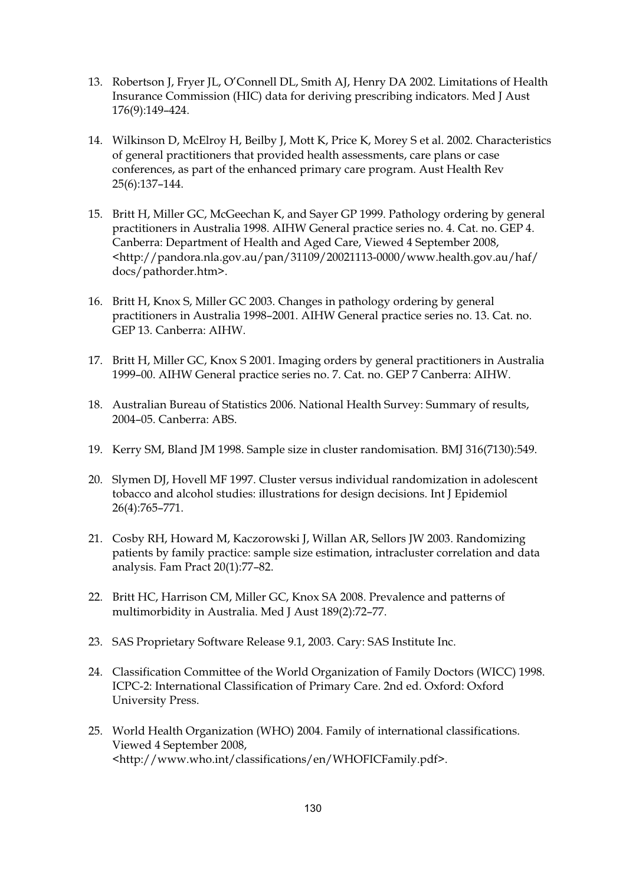- 13. Robertson J, Fryer JL, O'Connell DL, Smith AJ, Henry DA 2002. Limitations of Health Insurance Commission (HIC) data for deriving prescribing indicators. Med J Aust 176(9):149–424.
- 14. Wilkinson D, McElroy H, Beilby J, Mott K, Price K, Morey S et al. 2002. Characteristics of general practitioners that provided health assessments, care plans or case conferences, as part of the enhanced primary care program. Aust Health Rev 25(6):137–144.
- 15. Britt H, Miller GC, McGeechan K, and Sayer GP 1999. Pathology ordering by general practitioners in Australia 1998. AIHW General practice series no. 4. Cat. no. GEP 4. Canberra: Department of Health and Aged Care, Viewed 4 September 2008, <http://pandora.nla.gov.au/pan/31109/20021113-0000/www.health.gov.au/haf/ docs/pathorder.htm>.
- 16. Britt H, Knox S, Miller GC 2003. Changes in pathology ordering by general practitioners in Australia 1998–2001. AIHW General practice series no. 13. Cat. no. GEP 13. Canberra: AIHW.
- 17. Britt H, Miller GC, Knox S 2001. Imaging orders by general practitioners in Australia 1999–00. AIHW General practice series no. 7. Cat. no. GEP 7 Canberra: AIHW.
- 18. Australian Bureau of Statistics 2006. National Health Survey: Summary of results, 2004–05. Canberra: ABS.
- 19. Kerry SM, Bland JM 1998. Sample size in cluster randomisation. BMJ 316(7130):549.
- 20. Slymen DJ, Hovell MF 1997. Cluster versus individual randomization in adolescent tobacco and alcohol studies: illustrations for design decisions. Int J Epidemiol 26(4):765–771.
- 21. Cosby RH, Howard M, Kaczorowski J, Willan AR, Sellors JW 2003. Randomizing patients by family practice: sample size estimation, intracluster correlation and data analysis. Fam Pract 20(1):77–82.
- 22. Britt HC, Harrison CM, Miller GC, Knox SA 2008. Prevalence and patterns of multimorbidity in Australia. Med J Aust 189(2):72–77.
- 23. SAS Proprietary Software Release 9.1, 2003. Cary: SAS Institute Inc.
- 24. Classification Committee of the World Organization of Family Doctors (WICC) 1998. ICPC-2: International Classification of Primary Care. 2nd ed. Oxford: Oxford University Press.
- 25. World Health Organization (WHO) 2004. Family of international classifications. Viewed 4 September 2008, <http://www.who.int/classifications/en/WHOFICFamily.pdf>.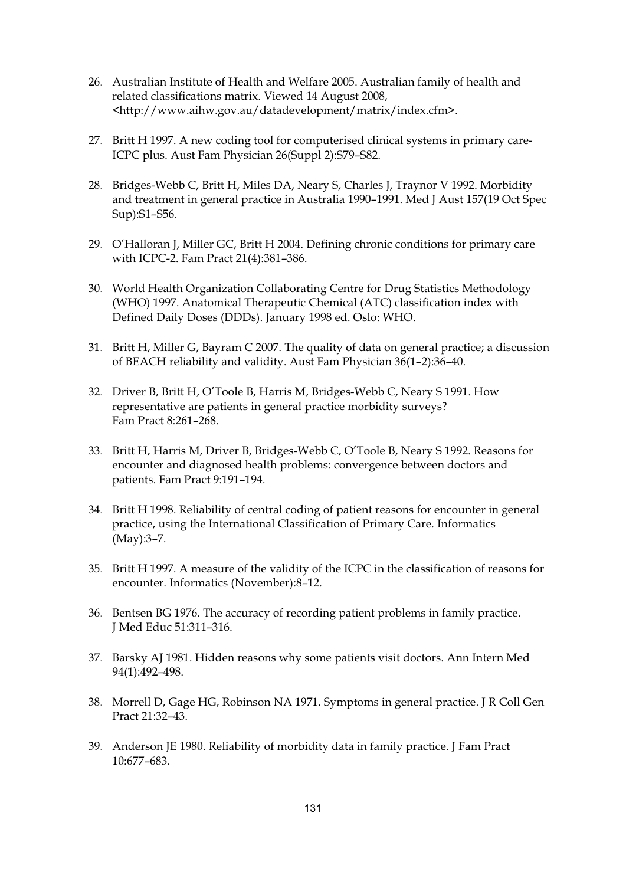- 26. Australian Institute of Health and Welfare 2005. Australian family of health and related classifications matrix. Viewed 14 August 2008, <http://www.aihw.gov.au/datadevelopment/matrix/index.cfm>.
- 27. Britt H 1997. A new coding tool for computerised clinical systems in primary care-ICPC plus. Aust Fam Physician 26(Suppl 2):S79–S82.
- 28. Bridges-Webb C, Britt H, Miles DA, Neary S, Charles J, Traynor V 1992. Morbidity and treatment in general practice in Australia 1990–1991. Med J Aust 157(19 Oct Spec Sup):S1–S56.
- 29. O'Halloran J, Miller GC, Britt H 2004. Defining chronic conditions for primary care with ICPC-2. Fam Pract 21(4):381–386.
- 30. World Health Organization Collaborating Centre for Drug Statistics Methodology (WHO) 1997. Anatomical Therapeutic Chemical (ATC) classification index with Defined Daily Doses (DDDs). January 1998 ed. Oslo: WHO.
- 31. Britt H, Miller G, Bayram C 2007. The quality of data on general practice; a discussion of BEACH reliability and validity. Aust Fam Physician 36(1–2):36–40.
- 32. Driver B, Britt H, O'Toole B, Harris M, Bridges-Webb C, Neary S 1991. How representative are patients in general practice morbidity surveys? Fam Pract 8:261–268.
- 33. Britt H, Harris M, Driver B, Bridges-Webb C, O'Toole B, Neary S 1992. Reasons for encounter and diagnosed health problems: convergence between doctors and patients. Fam Pract 9:191–194.
- 34. Britt H 1998. Reliability of central coding of patient reasons for encounter in general practice, using the International Classification of Primary Care. Informatics (May):3–7.
- 35. Britt H 1997. A measure of the validity of the ICPC in the classification of reasons for encounter. Informatics (November):8–12.
- 36. Bentsen BG 1976. The accuracy of recording patient problems in family practice. J Med Educ 51:311–316.
- 37. Barsky AJ 1981. Hidden reasons why some patients visit doctors. Ann Intern Med 94(1):492–498.
- 38. Morrell D, Gage HG, Robinson NA 1971. Symptoms in general practice. J R Coll Gen Pract 21:32–43.
- 39. Anderson JE 1980. Reliability of morbidity data in family practice. J Fam Pract 10:677–683.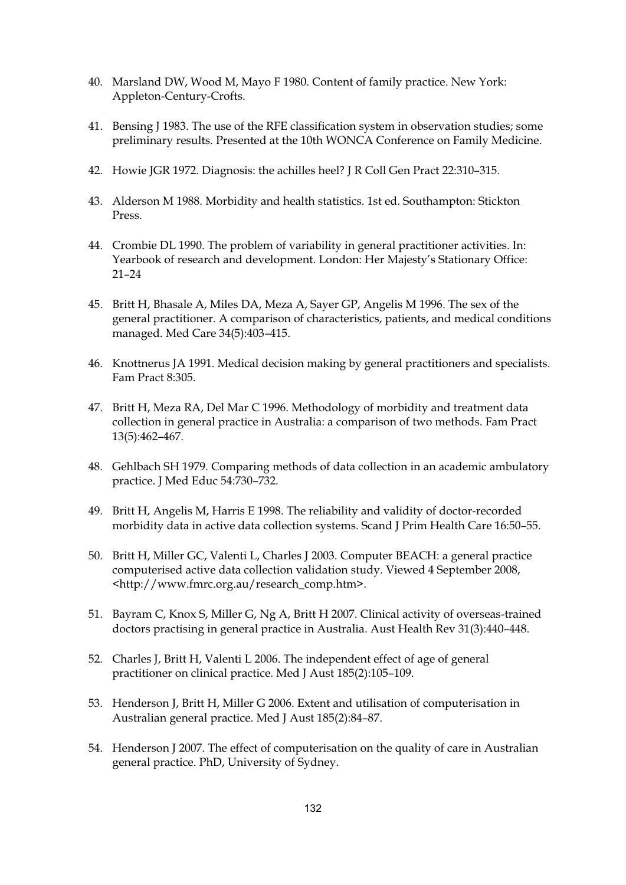- 40. Marsland DW, Wood M, Mayo F 1980. Content of family practice. New York: Appleton-Century-Crofts.
- 41. Bensing J 1983. The use of the RFE classification system in observation studies; some preliminary results. Presented at the 10th WONCA Conference on Family Medicine.
- 42. Howie JGR 1972. Diagnosis: the achilles heel? J R Coll Gen Pract 22:310–315.
- 43. Alderson M 1988. Morbidity and health statistics. 1st ed. Southampton: Stickton Press.
- 44. Crombie DL 1990. The problem of variability in general practitioner activities. In: Yearbook of research and development. London: Her Majesty's Stationary Office: 21–24
- 45. Britt H, Bhasale A, Miles DA, Meza A, Sayer GP, Angelis M 1996. The sex of the general practitioner. A comparison of characteristics, patients, and medical conditions managed. Med Care 34(5):403–415.
- 46. Knottnerus JA 1991. Medical decision making by general practitioners and specialists. Fam Pract 8:305.
- 47. Britt H, Meza RA, Del Mar C 1996. Methodology of morbidity and treatment data collection in general practice in Australia: a comparison of two methods. Fam Pract 13(5):462–467.
- 48. Gehlbach SH 1979. Comparing methods of data collection in an academic ambulatory practice. J Med Educ 54:730–732.
- 49. Britt H, Angelis M, Harris E 1998. The reliability and validity of doctor-recorded morbidity data in active data collection systems. Scand J Prim Health Care 16:50–55.
- 50. Britt H, Miller GC, Valenti L, Charles J 2003. Computer BEACH: a general practice computerised active data collection validation study. Viewed 4 September 2008, <http://www.fmrc.org.au/research\_comp.htm>.
- 51. Bayram C, Knox S, Miller G, Ng A, Britt H 2007. Clinical activity of overseas-trained doctors practising in general practice in Australia. Aust Health Rev 31(3):440–448.
- 52. Charles J, Britt H, Valenti L 2006. The independent effect of age of general practitioner on clinical practice. Med J Aust 185(2):105–109.
- 53. Henderson J, Britt H, Miller G 2006. Extent and utilisation of computerisation in Australian general practice. Med J Aust 185(2):84–87.
- 54. Henderson J 2007. The effect of computerisation on the quality of care in Australian general practice. PhD, University of Sydney.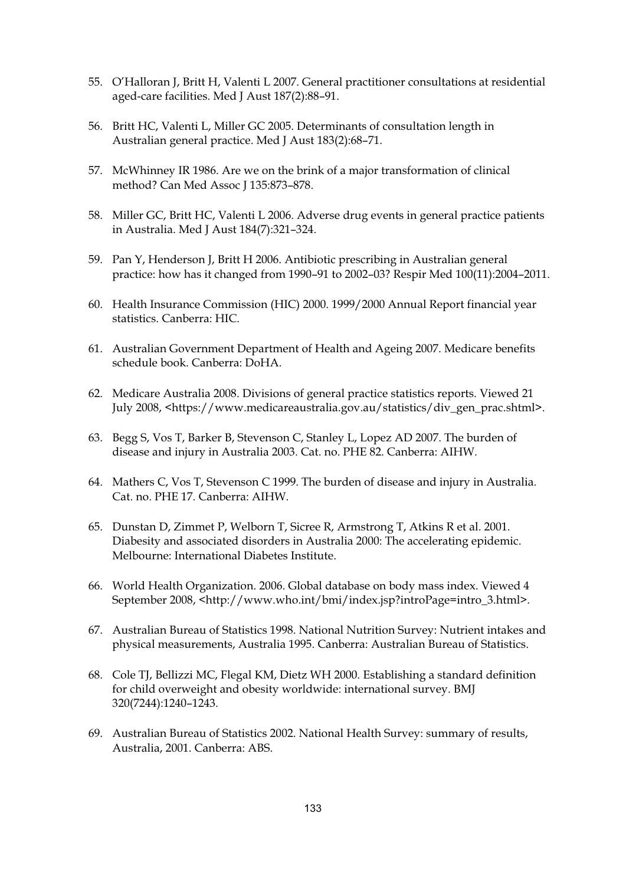- 55. O'Halloran J, Britt H, Valenti L 2007. General practitioner consultations at residential aged-care facilities. Med J Aust 187(2):88–91.
- 56. Britt HC, Valenti L, Miller GC 2005. Determinants of consultation length in Australian general practice. Med J Aust 183(2):68–71.
- 57. McWhinney IR 1986. Are we on the brink of a major transformation of clinical method? Can Med Assoc J 135:873-878.
- 58. Miller GC, Britt HC, Valenti L 2006. Adverse drug events in general practice patients in Australia. Med J Aust 184(7):321–324.
- 59. Pan Y, Henderson J, Britt H 2006. Antibiotic prescribing in Australian general practice: how has it changed from 1990–91 to 2002–03? Respir Med 100(11):2004–2011.
- 60. Health Insurance Commission (HIC) 2000. 1999/2000 Annual Report financial year statistics. Canberra: HIC.
- 61. Australian Government Department of Health and Ageing 2007. Medicare benefits schedule book. Canberra: DoHA.
- 62. Medicare Australia 2008. Divisions of general practice statistics reports. Viewed 21 July 2008, <https://www.medicareaustralia.gov.au/statistics/div\_gen\_prac.shtml>.
- 63. Begg S, Vos T, Barker B, Stevenson C, Stanley L, Lopez AD 2007. The burden of disease and injury in Australia 2003. Cat. no. PHE 82. Canberra: AIHW.
- 64. Mathers C, Vos T, Stevenson C 1999. The burden of disease and injury in Australia. Cat. no. PHE 17. Canberra: AIHW.
- 65. Dunstan D, Zimmet P, Welborn T, Sicree R, Armstrong T, Atkins R et al. 2001. Diabesity and associated disorders in Australia 2000: The accelerating epidemic. Melbourne: International Diabetes Institute.
- 66. World Health Organization. 2006. Global database on body mass index. Viewed 4 September 2008, <http://www.who.int/bmi/index.jsp?introPage=intro\_3.html>.
- 67. Australian Bureau of Statistics 1998. National Nutrition Survey: Nutrient intakes and physical measurements, Australia 1995. Canberra: Australian Bureau of Statistics.
- 68. Cole TJ, Bellizzi MC, Flegal KM, Dietz WH 2000. Establishing a standard definition for child overweight and obesity worldwide: international survey. BMJ 320(7244):1240–1243.
- 69. Australian Bureau of Statistics 2002. National Health Survey: summary of results, Australia, 2001. Canberra: ABS.